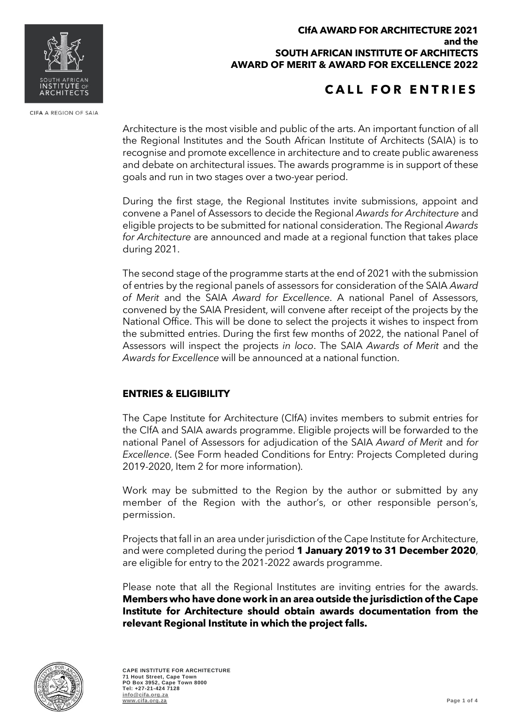#### **CIfA AWARD FOR ARCHITECTURE 2021 and the SOUTH AFRICAN INSTITUTE OF ARCHITECTS AWARD OF MERIT & AWARD FOR EXCELLENCE 2022**

# **CALL FOR ENTRIES**

Architecture is the most visible and public of the arts. An important function of all the Regional Institutes and the South African Institute of Architects (SAIA) is to recognise and promote excellence in architecture and to create public awareness and debate on architectural issues. The awards programme is in support of these goals and run in two stages over a two-year period.

During the first stage, the Regional Institutes invite submissions, appoint and convene a Panel of Assessors to decide the Regional *Awards for Architecture* and eligible projects to be submitted for national consideration. The Regional *Awards for Architecture* are announced and made at a regional function that takes place during 2021.

The second stage of the programme starts at the end of 2021 with the submission of entries by the regional panels of assessors for consideration of the SAIA *Award of Merit* and the SAIA *Award for Excellence*. A national Panel of Assessors, convened by the SAIA President, will convene after receipt of the projects by the National Office. This will be done to select the projects it wishes to inspect from the submitted entries. During the first few months of 2022, the national Panel of Assessors will inspect the projects *in loco*. The SAIA *Awards of Merit* and the *Awards for Excellence* will be announced at a national function.

## **ENTRIES & ELIGIBILITY**

The Cape Institute for Architecture (CIfA) invites members to submit entries for the CIfA and SAIA awards programme. Eligible projects will be forwarded to the national Panel of Assessors for adjudication of the SAIA *Award of Merit* and *for Excellence*. (See Form headed Conditions for Entry: Projects Completed during 2019-2020, Item 2 for more information).

Work may be submitted to the Region by the author or submitted by any member of the Region with the author's, or other responsible person's, permission.

Projects that fall in an area under jurisdiction of the Cape Institute for Architecture, and were completed during the period **1 January 2019 to 31 December 2020**, are eligible for entry to the 2021-2022 awards programme.

Please note that all the Regional Institutes are inviting entries for the awards. **Members who have done work in an area outside the jurisdiction of the Cape Institute for Architecture should obtain awards documentation from the relevant Regional Institute in which the project falls.**







CIFA A REGION OF SAIA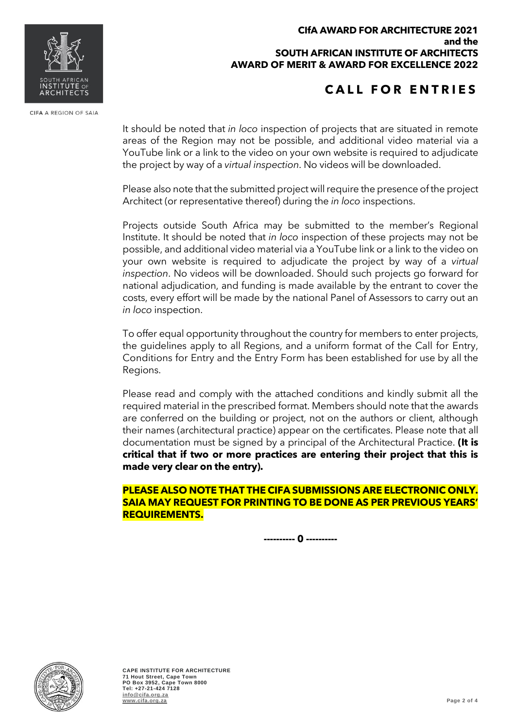#### **CIfA AWARD FOR ARCHITECTURE 2021 and the SOUTH AFRICAN INSTITUTE OF ARCHITECTS AWARD OF MERIT & AWARD FOR EXCELLENCE 2022**

# **CALL FOR ENTRIES**

It should be noted that *in loco* inspection of projects that are situated in remote areas of the Region may not be possible, and additional video material via a YouTube link or a link to the video on your own website is required to adjudicate the project by way of a *virtual inspection*. No videos will be downloaded.

Please also note that the submitted project will require the presence of the project Architect (or representative thereof) during the *in loco* inspections.

Projects outside South Africa may be submitted to the member's Regional Institute. It should be noted that *in loco* inspection of these projects may not be possible, and additional video material via a YouTube link or a link to the video on your own website is required to adjudicate the project by way of a *virtual inspection*. No videos will be downloaded. Should such projects go forward for national adjudication, and funding is made available by the entrant to cover the costs, every effort will be made by the national Panel of Assessors to carry out an *in loco* inspection.

To offer equal opportunity throughout the country for members to enter projects, the guidelines apply to all Regions, and a uniform format of the Call for Entry, Conditions for Entry and the Entry Form has been established for use by all the Regions.

Please read and comply with the attached conditions and kindly submit all the required material in the prescribed format. Members should note that the awards are conferred on the building or project, not on the authors or client, although their names (architectural practice) appear on the certificates. Please note that all documentation must be signed by a principal of the Architectural Practice. **(It is critical that if two or more practices are entering their project that this is made very clear on the entry).**

**PLEASE ALSO NOTE THAT THE CIFA SUBMISSIONS ARE ELECTRONIC ONLY. SAIA MAY REQUEST FOR PRINTING TO BE DONE AS PER PREVIOUS YEARS' REQUIREMENTS.**

**---------- 0 ----------**





CIFA A REGION OF SAIA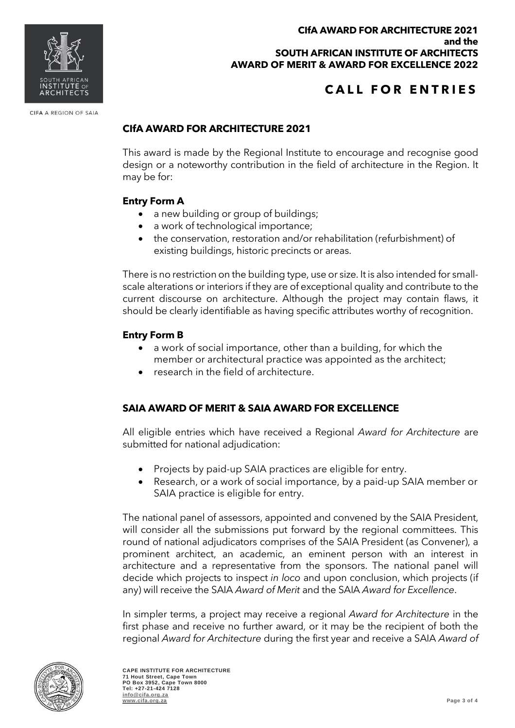

# **CALL FOR ENTRIES**

### **CIfA AWARD FOR ARCHITECTURE 2021**

This award is made by the Regional Institute to encourage and recognise good design or a noteworthy contribution in the field of architecture in the Region. It may be for:

### **Entry Form A**

CIFA A REGION OF SAIA

- a new building or group of buildings;
- a work of technological importance;
- the conservation, restoration and/or rehabilitation (refurbishment) of existing buildings, historic precincts or areas.

There is no restriction on the building type, use or size. It is also intended for smallscale alterations or interiors if they are of exceptional quality and contribute to the current discourse on architecture. Although the project may contain flaws, it should be clearly identifiable as having specific attributes worthy of recognition.

#### **Entry Form B**

- a work of social importance, other than a building, for which the member or architectural practice was appointed as the architect;
- research in the field of architecture.

### **SAIA AWARD OF MERIT & SAIA AWARD FOR EXCELLENCE**

All eligible entries which have received a Regional *Award for Architecture* are submitted for national adjudication:

- Projects by paid-up SAIA practices are eligible for entry.
- Research, or a work of social importance, by a paid-up SAIA member or SAIA practice is eligible for entry.

The national panel of assessors, appointed and convened by the SAIA President, will consider all the submissions put forward by the regional committees. This round of national adjudicators comprises of the SAIA President (as Convener), a prominent architect, an academic, an eminent person with an interest in architecture and a representative from the sponsors. The national panel will decide which projects to inspect *in loco* and upon conclusion, which projects (if any) will receive the SAIA *Award of Merit* and the SAIA *Award for Excellence*.

In simpler terms, a project may receive a regional *Award for Architecture* in the first phase and receive no further award, or it may be the recipient of both the regional *Award for Architecture* during the first year and receive a SAIA *Award of*